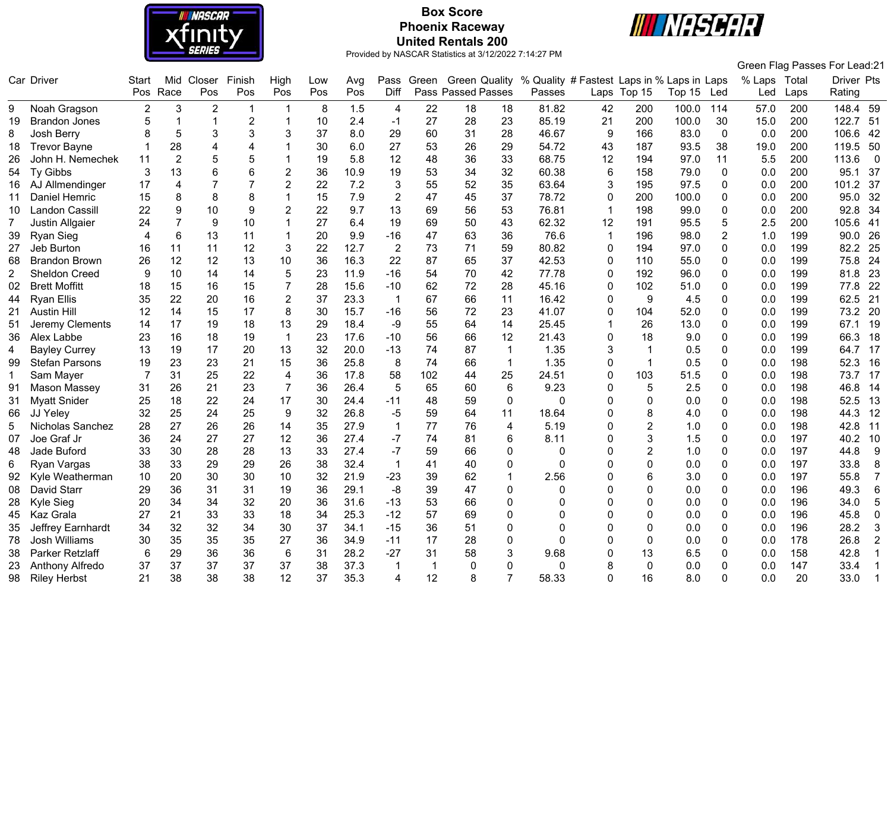

# **Box Score Phoenix Raceway United Rentals 200**



|                |                       |                |                |                |                 |                |     |      |                |                |                     |              |                                            |              |                |        |                |              |      | Green Flag Passes For Lead:21 |                |
|----------------|-----------------------|----------------|----------------|----------------|-----------------|----------------|-----|------|----------------|----------------|---------------------|--------------|--------------------------------------------|--------------|----------------|--------|----------------|--------------|------|-------------------------------|----------------|
|                | Car Driver            | Start          | Mid            | Closer         | Finish          | High           | Low | Avg  | Pass           |                | Green Green Quality |              | % Quality # Fastest Laps in % Laps in Laps |              |                |        |                | % Laps Total |      | Driver Pts                    |                |
|                |                       | Pos            | Race           | Pos            | Pos             | Pos            | Pos | Pos  | Diff           |                | Pass Passed Passes  |              | Passes                                     |              | Laps Top 15    | Top 15 | Led            | Led          | Laps | Rating                        |                |
| 9              | Noah Gragson          | $\overline{2}$ | 3              | $\overline{2}$ | $\mathbf{1}$    | $\overline{1}$ | 8   | 1.5  | 4              | 22             | 18                  | 18           | 81.82                                      | 42           | 200            | 100.0  | 114            | 57.0         | 200  | 148.4 59                      |                |
| 19             | <b>Brandon Jones</b>  | 5              | $\overline{1}$ | $\mathbf{1}$   | $\sqrt{2}$      | -1             | 10  | 2.4  | $-1$           | 27             | 28                  | 23           | 85.19                                      | 21           | 200            | 100.0  | 30             | 15.0         | 200  | 122.7<br>51                   |                |
| 8              | Josh Berry            |                | 5              | 3              | 3               | 3              | 37  | 8.0  | 29             | 60             | 31                  | 28           | 46.67                                      | 9            | 166            | 83.0   | $\mathbf 0$    | 0.0          | 200  | 106.6<br>42                   |                |
| 18             | <b>Trevor Bayne</b>   |                | 28             | 4              | 4               |                | 30  | 6.0  | 27             | 53             | 26                  | 29           | 54.72                                      | 43           | 187            | 93.5   | 38             | 19.0         | 200  | 119.5<br>50                   |                |
| 26             | John H. Nemechek      | 11             | $\overline{2}$ | 5              | 5               |                | 19  | 5.8  | 12             | 48             | 36                  | 33           | 68.75                                      | 12           | 194            | 97.0   | 11             | 5.5          | 200  | 113.6                         | $\overline{0}$ |
| 54             | Ty Gibbs              | 3              | 13             | 6              | $6\phantom{1}6$ | $\overline{c}$ | 36  | 10.9 | 19             | 53             | 34                  | 32           | 60.38                                      | 6            | 158            | 79.0   | $\Omega$       | 0.0          | 200  | 95.1<br>37                    |                |
| 16             | AJ Allmendinger       | 17             | 4              | $\overline{7}$ | $\overline{7}$  | $\overline{2}$ | 22  | 7.2  | 3              | 55             | 52                  | 35           | 63.64                                      | 3            | 195            | 97.5   | 0              | 0.0          | 200  | 101.2<br>37                   |                |
| 11             | Daniel Hemric         | 15             | 8              | 8              | 8               |                | 15  | 7.9  | $\overline{2}$ | 47             | 45                  | 37           | 78.72                                      | 0            | 200            | 100.0  | $\mathbf 0$    | 0.0          | 200  | 95.0<br>32                    |                |
| 10             | <b>Landon Cassill</b> | 22             | 9              | 10             | 9               | $\overline{2}$ | 22  | 9.7  | 13             | 69             | 56                  | 53           | 76.81                                      | $\mathbf{1}$ | 198            | 99.0   | $\mathbf 0$    | 0.0          | 200  | 92.8<br>34                    |                |
| $\overline{7}$ | Justin Allgaier       | 24             | 7              | 9              | 10              |                | 27  | 6.4  | 19             | 69             | 50                  | 43           | 62.32                                      | 12           | 191            | 95.5   | 5              | 2.5          | 200  | 105.6<br>41                   |                |
| 39             | Ryan Sieg             | $\overline{4}$ | 6              | 13             | 11              | $\mathbf 1$    | 20  | 9.9  | $-16$          | 47             | 63                  | 36           | 76.6                                       | 1            | 196            | 98.0   | $\overline{2}$ | 1.0          | 199  | 26<br>90.0                    |                |
| 27             | Jeb Burton            | 16             | 11             | 11             | 12              | 3              | 22  | 12.7 | $\overline{2}$ | 73             | 71                  | 59           | 80.82                                      | 0            | 194            | 97.0   | 0              | 0.0          | 199  | 82.2<br>25                    |                |
| 68             | <b>Brandon Brown</b>  | 26             | 12             | 12             | 13              | $10$           | 36  | 16.3 | 22             | 87             | 65                  | 37           | 42.53                                      | 0            | 110            | 55.0   | $\mathbf 0$    | 0.0          | 199  | 75.8<br>24                    |                |
| $\overline{c}$ | <b>Sheldon Creed</b>  | 9              | 10             | 14             | 14              | 5              | 23  | 11.9 | $-16$          | 54             | 70                  | 42           | 77.78                                      | 0            | 192            | 96.0   | $\mathbf 0$    | 0.0          | 199  | 81.8<br>23                    |                |
| 02             | <b>Brett Moffitt</b>  | 18             | 15             | 16             | 15              | 7              | 28  | 15.6 | $-10$          | 62             | 72                  | 28           | 45.16                                      | 0            | 102            | 51.0   | 0              | 0.0          | 199  | 77.8<br>22                    |                |
| 44             | <b>Ryan Ellis</b>     | 35             | 22             | 20             | 16              | $\overline{2}$ | 37  | 23.3 | 1              | 67             | 66                  | 11           | 16.42                                      | 0            | 9              | 4.5    | $\mathbf 0$    | 0.0          | 199  | 21<br>62.5                    |                |
| 21             | <b>Austin Hill</b>    | 12             | 14             | 15             | 17              | 8              | 30  | 15.7 | $-16$          | 56             | 72                  | 23           | 41.07                                      | 0            | 104            | 52.0   | 0              | 0.0          | 199  | 73.2<br>20                    |                |
| 51             | Jeremy Clements       | 14             | 17             | 19             | 18              | 13             | 29  | 18.4 | $-9$           | 55             | 64                  | 14           | 25.45                                      | 1            | 26             | 13.0   | 0              | 0.0          | 199  | 67.1<br>19                    |                |
| 36             | Alex Labbe            | 23             | 16             | 18             | 19              | $\mathbf{1}$   | 23  | 17.6 | $-10$          | 56             | 66                  | 12           | 21.43                                      | 0            | 18             | 9.0    | $\mathbf 0$    | 0.0          | 199  | 66.3<br>18                    |                |
| 4              | <b>Bayley Currey</b>  | 13             | 19             | 17             | 20              | 13             | 32  | 20.0 | $-13$          | 74             | 87                  | $\mathbf{1}$ | 1.35                                       | 3            | -1             | 0.5    | 0              | 0.0          | 199  | 64.7<br>17                    |                |
| 99             | <b>Stefan Parsons</b> | 19             | 23             | 23             | 21              | 15             | 36  | 25.8 | 8              | 74             | 66                  | $\mathbf{1}$ | 1.35                                       | 0            |                | 0.5    | $\Omega$       | 0.0          | 198  | 52.3                          | 16             |
| -1             | Sam Mayer             | 7              | 31             | 25             | 22              | $\overline{4}$ | 36  | 17.8 | 58             | 102            | 44                  | 25           | 24.51                                      | 0            | 103            | 51.5   | $\mathbf 0$    | 0.0          | 198  | 73.7<br>17                    |                |
| 91             | Mason Massey          | 31             | 26             | 21             | 23              | $\overline{7}$ | 36  | 26.4 | 5              | 65             | 60                  | 6            | 9.23                                       | 0            | 5              | 2.5    | $\mathbf 0$    | 0.0          | 198  | 46.8<br>14                    |                |
| 31             | <b>Myatt Snider</b>   | 25             | 18             | 22             | 24              | 17             | 30  | 24.4 | $-11$          | 48             | 59                  | $\mathbf 0$  | $\Omega$                                   | 0            | 0              | 0.0    | $\mathbf 0$    | 0.0          | 198  | 52.5<br>13                    |                |
| 66             | JJ Yeley              | 32             | 25             | 24             | 25              | 9              | 32  | 26.8 | $-5$           | 59             | 64                  | 11           | 18.64                                      | 0            | 8              | 4.0    | $\Omega$       | 0.0          | 198  | 44.3                          | 12             |
| 5              | Nicholas Sanchez      | 28             | 27             | 26             | 26              | 14             | 35  | 27.9 | 1              | 77             | 76                  | 4            | 5.19                                       | 0            | $\overline{2}$ | 1.0    | $\mathbf{0}$   | 0.0          | 198  | 42.8<br>11                    |                |
| 07             | Joe Graf Jr           | 36             | 24             | 27             | 27              | 12             | 36  | 27.4 | $-7$           | 74             | 81                  | 6            | 8.11                                       | 0            | 3              | 1.5    | $\mathbf 0$    | 0.0          | 197  | 40.2<br>10                    |                |
| 48             | Jade Buford           | 33             | 30             | 28             | 28              | 13             | 33  | 27.4 | $-7$           | 59             | 66                  | 0            | $\Omega$                                   | 0            | $\overline{2}$ | 1.0    | $\mathbf 0$    | 0.0          | 197  | 44.8                          | 9              |
| 6              | Ryan Vargas           | 38             | 33             | 29             | 29              | 26             | 38  | 32.4 | $\mathbf{1}$   | 41             | 40                  | 0            | $\Omega$                                   | 0            | 0              | 0.0    | $\mathbf 0$    | 0.0          | 197  | 33.8                          | 8              |
| 92             | Kyle Weatherman       | 10             | 20             | 30             | 30              | 10             | 32  | 21.9 | $-23$          | 39             | 62                  | 1            | 2.56                                       | 0            | 6              | 3.0    | 0              | 0.0          | 197  | 55.8                          | $\overline{7}$ |
| 08             | David Starr           | 29             | 36             | 31             | 31              | 19             | 36  | 29.1 | $-8$           | 39             | 47                  | 0            | 0                                          | 0            | $\Omega$       | 0.0    | $\Omega$       | 0.0          | 196  | 49.3                          | $\,6$          |
| 28             | Kyle Sieg             | 20             | 34             | 34             | 32              | 20             | 36  | 31.6 | $-13$          | 53             | 66                  | 0            | 0                                          | 0            | 0              | 0.0    | $\Omega$       | 0.0          | 196  | 34.0                          | 5              |
| 45             | Kaz Grala             | 27             | 21             | 33             | 33              | 18             | 34  | 25.3 | $-12$          | 57             | 69                  | 0            | 0                                          | 0            | $\Omega$       | 0.0    | $\mathbf 0$    | 0.0          | 196  | 45.8                          | $\mathbf 0$    |
| 35             | Jeffrey Earnhardt     | 34             | 32             | 32             | 34              | 30             | 37  | 34.1 | $-15$          | 36             | 51                  | 0            | 0                                          | 0            | $\Omega$       | 0.0    | 0              | 0.0          | 196  | 28.2                          | $\mathbf{3}$   |
| 78             | Josh Williams         | 30             | 35             | 35             | 35              | 27             | 36  | 34.9 | $-11$          | 17             | 28                  | 0            | 0                                          | 0            | 0              | 0.0    | 0              | 0.0          | 178  | 26.8                          | $\overline{2}$ |
| 38             | Parker Retzlaff       | 6              | 29             | 36             | 36              | 6              | 31  | 28.2 | $-27$          | 31             | 58                  | 3            | 9.68                                       | 0            | 13             | 6.5    | $\Omega$       | 0.0          | 158  | 42.8                          | $\mathbf{1}$   |
| 23             | Anthony Alfredo       | 37             | 37             | 37             | 37              | 37             | 38  | 37.3 | 1              | $\overline{1}$ | $\Omega$            | 0            | 0                                          | 8            | 0              | 0.0    | $\Omega$       | 0.0          | 147  | 33.4                          | 1              |
| 98             | <b>Riley Herbst</b>   | 21             | 38             | 38             | 38              | 12             | 37  | 35.3 | Δ              | 12             | 8                   | 7            | 58.33                                      | U            | 16             | 8.0    | $\Omega$       | 0.0          | 20   | 33.0                          | $\mathbf{1}$   |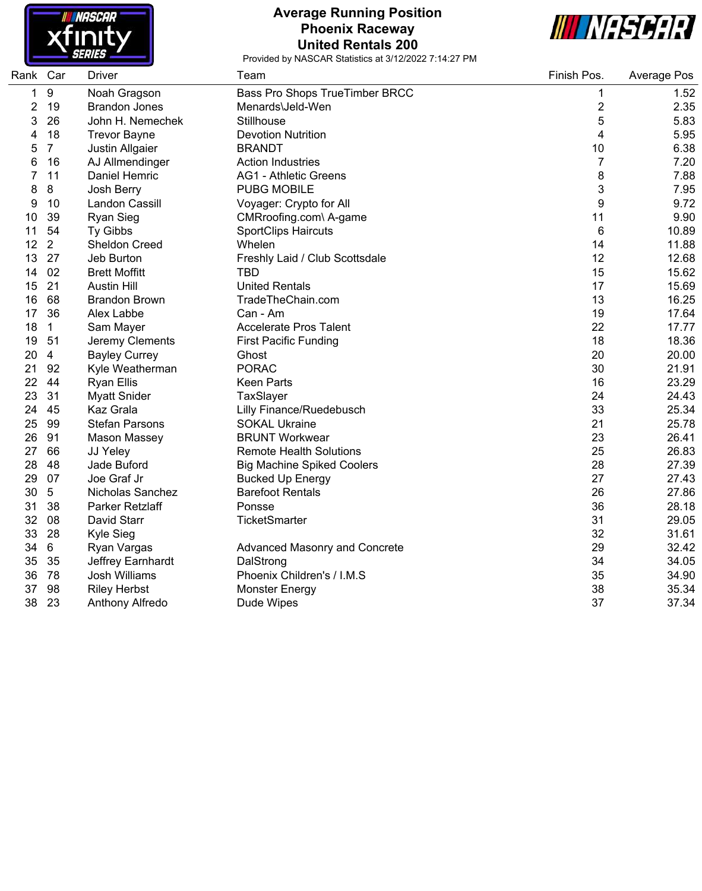

#### **Average Running Position Phoenix Raceway United Rentals 200**



| Rank Car |                | <b>Driver</b>         | Team                                 | Finish Pos.    | Average Pos |
|----------|----------------|-----------------------|--------------------------------------|----------------|-------------|
| 1        | 9              | Noah Gragson          | Bass Pro Shops TrueTimber BRCC       | 1              | 1.52        |
| 2        | 19             | <b>Brandon Jones</b>  | Menards\Jeld-Wen                     | $\overline{2}$ | 2.35        |
| 3        | 26             | John H. Nemechek      | <b>Stillhouse</b>                    | 5              | 5.83        |
| 4        | 18             | <b>Trevor Bayne</b>   | <b>Devotion Nutrition</b>            | 4              | 5.95        |
| 5        | $\overline{7}$ | Justin Allgaier       | <b>BRANDT</b>                        | 10             | 6.38        |
| 6        | 16             | AJ Allmendinger       | <b>Action Industries</b>             | $\overline{7}$ | 7.20        |
| 7        | 11             | Daniel Hemric         | <b>AG1 - Athletic Greens</b>         | 8              | 7.88        |
| 8        | 8              | Josh Berry            | <b>PUBG MOBILE</b>                   | 3              | 7.95        |
| 9        | 10             | Landon Cassill        | Voyager: Crypto for All              | 9              | 9.72        |
| 10       | 39             | <b>Ryan Sieg</b>      | CMRroofing.com\ A-game               | 11             | 9.90        |
| 11       | 54             | Ty Gibbs              | <b>SportClips Haircuts</b>           | 6              | 10.89       |
| 12       | $\overline{2}$ | <b>Sheldon Creed</b>  | Whelen                               | 14             | 11.88       |
| 13       | 27             | Jeb Burton            | Freshly Laid / Club Scottsdale       | 12             | 12.68       |
| 14       | 02             | <b>Brett Moffitt</b>  | <b>TBD</b>                           | 15             | 15.62       |
| 15       | 21             | <b>Austin Hill</b>    | <b>United Rentals</b>                | 17             | 15.69       |
| 16       | 68             | <b>Brandon Brown</b>  | TradeTheChain.com                    | 13             | 16.25       |
| 17       | 36             | Alex Labbe            | Can - Am                             | 19             | 17.64       |
| 18       | $\mathbf{1}$   | Sam Mayer             | <b>Accelerate Pros Talent</b>        | 22             | 17.77       |
| 19       | 51             | Jeremy Clements       | <b>First Pacific Funding</b>         | 18             | 18.36       |
| 20       | $\overline{4}$ | <b>Bayley Currey</b>  | Ghost                                | 20             | 20.00       |
| 21       | 92             | Kyle Weatherman       | <b>PORAC</b>                         | 30             | 21.91       |
| 22       | 44             | <b>Ryan Ellis</b>     | <b>Keen Parts</b>                    | 16             | 23.29       |
| 23       | 31             | <b>Myatt Snider</b>   | TaxSlayer                            | 24             | 24.43       |
| 24       | 45             | Kaz Grala             | Lilly Finance/Ruedebusch             | 33             | 25.34       |
| 25       | 99             | <b>Stefan Parsons</b> | <b>SOKAL Ukraine</b>                 | 21             | 25.78       |
| 26       | 91             | <b>Mason Massey</b>   | <b>BRUNT Workwear</b>                | 23             | 26.41       |
| 27       | 66             | JJ Yeley              | <b>Remote Health Solutions</b>       | 25             | 26.83       |
| 28       | 48             | Jade Buford           | <b>Big Machine Spiked Coolers</b>    | 28             | 27.39       |
| 29       | 07             | Joe Graf Jr           | <b>Bucked Up Energy</b>              | 27             | 27.43       |
| 30       | 5              | Nicholas Sanchez      | <b>Barefoot Rentals</b>              | 26             | 27.86       |
| 31       | 38             | Parker Retzlaff       | Ponsse                               | 36             | 28.18       |
| 32       | 08             | David Starr           | <b>TicketSmarter</b>                 | 31             | 29.05       |
| 33       | 28             | Kyle Sieg             |                                      | 32             | 31.61       |
| 34       | 6              | Ryan Vargas           | <b>Advanced Masonry and Concrete</b> | 29             | 32.42       |
| 35       | 35             | Jeffrey Earnhardt     | DalStrong                            | 34             | 34.05       |
| 36       | 78             | Josh Williams         | Phoenix Children's / I.M.S           | 35             | 34.90       |
| 37       | 98             | <b>Riley Herbst</b>   | <b>Monster Energy</b>                | 38             | 35.34       |
| 38       | 23             | Anthony Alfredo       | Dude Wipes                           | 37             | 37.34       |
|          |                |                       |                                      |                |             |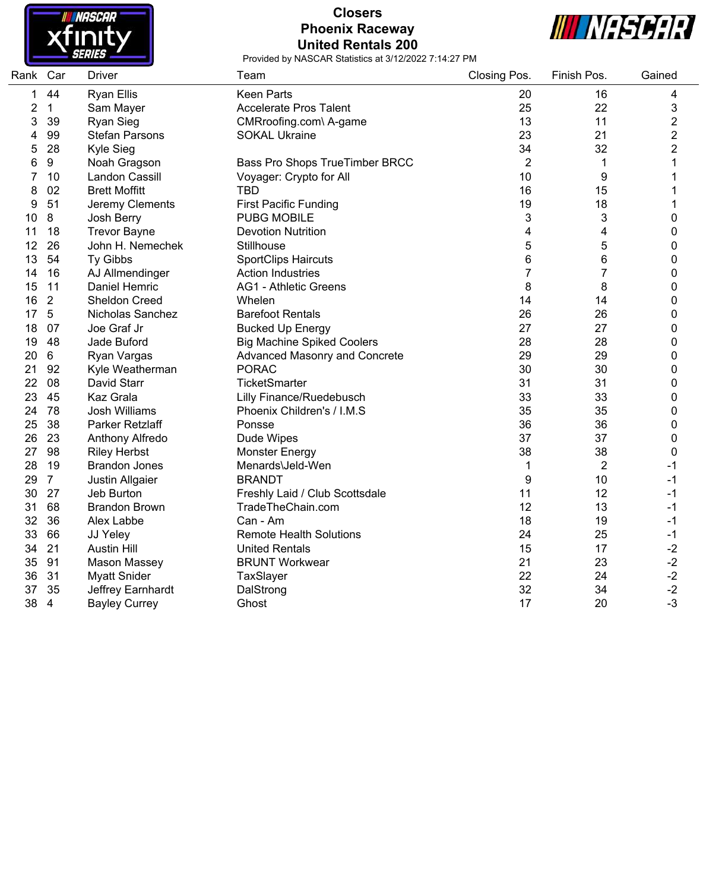

# **Closers Phoenix Raceway United Rentals 200**



| Rank Car |                | <b>Driver</b>         | Team                              | Closing Pos.   | Finish Pos.      | Gained         |
|----------|----------------|-----------------------|-----------------------------------|----------------|------------------|----------------|
| 1        | 44             | <b>Ryan Ellis</b>     | <b>Keen Parts</b>                 | 20             | 16               | 4              |
| 2        | $\mathbf{1}$   | Sam Mayer             | <b>Accelerate Pros Talent</b>     | 25             | 22               | 3              |
| 3        | 39             | Ryan Sieg             | CMRroofing.com\ A-game            | 13             | 11               | 2              |
| 4        | 99             | <b>Stefan Parsons</b> | <b>SOKAL Ukraine</b>              | 23             | 21               | $\overline{c}$ |
| 5        | 28             | Kyle Sieg             |                                   | 34             | 32               | $\overline{2}$ |
| 6        | 9              | Noah Gragson          | Bass Pro Shops TrueTimber BRCC    | $\overline{2}$ | $\mathbf 1$      | 1              |
| 7        | 10             | <b>Landon Cassill</b> | Voyager: Crypto for All           | 10             | $\boldsymbol{9}$ | 1              |
| 8        | 02             | <b>Brett Moffitt</b>  | <b>TBD</b>                        | 16             | 15               | 1              |
| 9        | 51             | Jeremy Clements       | <b>First Pacific Funding</b>      | 19             | 18               | 1              |
| 10       | 8              | Josh Berry            | <b>PUBG MOBILE</b>                | 3              | 3                | $\pmb{0}$      |
| 11       | 18             | <b>Trevor Bayne</b>   | <b>Devotion Nutrition</b>         | 4              | 4                | $\mathbf 0$    |
| 12       | 26             | John H. Nemechek      | Stillhouse                        | 5              | 5                | 0              |
| 13       | 54             | Ty Gibbs              | <b>SportClips Haircuts</b>        | 6              | 6                | $\mathbf 0$    |
| 14       | 16             | AJ Allmendinger       | <b>Action Industries</b>          | 7              | 7                | $\mathbf 0$    |
| 15       | 11             | Daniel Hemric         | <b>AG1 - Athletic Greens</b>      | 8              | 8                | $\pmb{0}$      |
| 16       | $\overline{2}$ | Sheldon Creed         | Whelen                            | 14             | 14               | $\mathbf 0$    |
| 17       | $\sqrt{5}$     | Nicholas Sanchez      | <b>Barefoot Rentals</b>           | 26             | 26               | $\pmb{0}$      |
| 18       | 07             | Joe Graf Jr           | <b>Bucked Up Energy</b>           | 27             | 27               | $\pmb{0}$      |
| 19       | 48             | Jade Buford           | <b>Big Machine Spiked Coolers</b> | 28             | 28               | $\pmb{0}$      |
| 20       | $\,6\,$        | Ryan Vargas           | Advanced Masonry and Concrete     | 29             | 29               | 0              |
| 21       | 92             | Kyle Weatherman       | <b>PORAC</b>                      | 30             | 30               | $\mathbf 0$    |
| 22       | 08             | David Starr           | TicketSmarter                     | 31             | 31               | $\mathbf 0$    |
| 23       | 45             | Kaz Grala             | <b>Lilly Finance/Ruedebusch</b>   | 33             | 33               | $\mathbf 0$    |
| 24       | 78             | <b>Josh Williams</b>  | Phoenix Children's / I.M.S        | 35             | 35               | $\mathbf 0$    |
| 25       | 38             | Parker Retzlaff       | Ponsse                            | 36             | 36               | $\pmb{0}$      |
| 26       | 23             | Anthony Alfredo       | Dude Wipes                        | 37             | 37               | $\pmb{0}$      |
| 27       | 98             | <b>Riley Herbst</b>   | <b>Monster Energy</b>             | 38             | 38               | $\mathbf 0$    |
| 28       | 19             | <b>Brandon Jones</b>  | Menards\Jeld-Wen                  | 1              | $\boldsymbol{2}$ | $-1$           |
| 29       | $\overline{7}$ | Justin Allgaier       | <b>BRANDT</b>                     | 9              | 10               | $-1$           |
| 30       | 27             | Jeb Burton            | Freshly Laid / Club Scottsdale    | 11             | 12               | $-1$           |
| 31       | 68             | <b>Brandon Brown</b>  | TradeTheChain.com                 | 12             | 13               | -1             |
| 32       | 36             | Alex Labbe            | Can - Am                          | 18             | 19               | $-1$           |
| 33       | 66             | JJ Yeley              | <b>Remote Health Solutions</b>    | 24             | 25               | $-1$           |
| 34       | 21             | <b>Austin Hill</b>    | <b>United Rentals</b>             | 15             | 17               | $-2$           |
| 35       | 91             | <b>Mason Massey</b>   | <b>BRUNT Workwear</b>             | 21             | 23               | $-2$           |
| 36       | 31             | <b>Myatt Snider</b>   | TaxSlayer                         | 22             | 24               | $-2$           |
| 37       | 35             | Jeffrey Earnhardt     | DalStrong                         | 32             | 34               | $-2$           |
| 38       | 4              | <b>Bayley Currey</b>  | Ghost                             | 17             | 20               | $-3$           |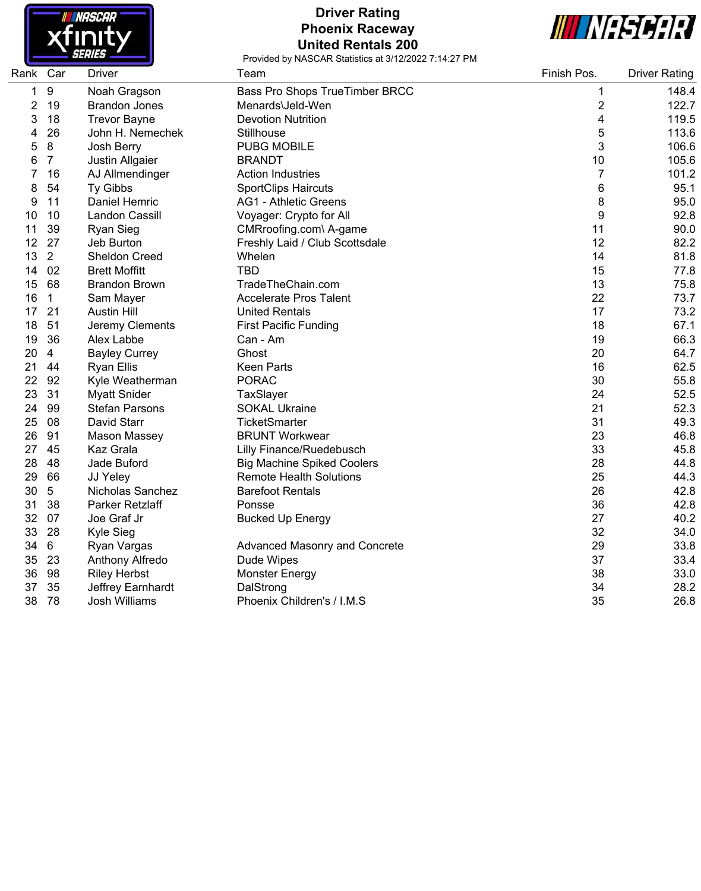

# **Driver Rating Phoenix Raceway United Rentals 200**



| Rank | Car              | <b>Driver</b>         | Team                                 | Finish Pos.             | <b>Driver Rating</b> |
|------|------------------|-----------------------|--------------------------------------|-------------------------|----------------------|
| 1    | $\boldsymbol{9}$ | Noah Gragson          | Bass Pro Shops TrueTimber BRCC       | 1                       | 148.4                |
| 2    | 19               | <b>Brandon Jones</b>  | Menards\Jeld-Wen                     | $\overline{\mathbf{c}}$ | 122.7                |
| 3    | 18               | <b>Trevor Bayne</b>   | <b>Devotion Nutrition</b>            | 4                       | 119.5                |
| 4    | 26               | John H. Nemechek      | Stillhouse                           | 5                       | 113.6                |
| 5    | 8                | Josh Berry            | <b>PUBG MOBILE</b>                   | 3                       | 106.6                |
| 6    | $\overline{7}$   | Justin Allgaier       | <b>BRANDT</b>                        | 10                      | 105.6                |
| 7    | 16               | AJ Allmendinger       | <b>Action Industries</b>             | $\overline{7}$          | 101.2                |
| 8    | 54               | Ty Gibbs              | <b>SportClips Haircuts</b>           | 6                       | 95.1                 |
| 9    | 11               | Daniel Hemric         | <b>AG1 - Athletic Greens</b>         | 8                       | 95.0                 |
| 10   | 10               | <b>Landon Cassill</b> | Voyager: Crypto for All              | 9                       | 92.8                 |
| 11   | 39               | <b>Ryan Sieg</b>      | CMRroofing.com\ A-game               | 11                      | 90.0                 |
| 12   | 27               | Jeb Burton            | Freshly Laid / Club Scottsdale       | 12                      | 82.2                 |
| 13   | $\overline{2}$   | <b>Sheldon Creed</b>  | Whelen                               | 14                      | 81.8                 |
| 14   | 02               | <b>Brett Moffitt</b>  | <b>TBD</b>                           | 15                      | 77.8                 |
| 15   | 68               | <b>Brandon Brown</b>  | TradeTheChain.com                    | 13                      | 75.8                 |
| 16   | $\mathbf{1}$     | Sam Mayer             | <b>Accelerate Pros Talent</b>        | 22                      | 73.7                 |
| 17   | 21               | <b>Austin Hill</b>    | <b>United Rentals</b>                | 17                      | 73.2                 |
| 18   | 51               | Jeremy Clements       | <b>First Pacific Funding</b>         | 18                      | 67.1                 |
| 19   | 36               | Alex Labbe            | Can - Am                             | 19                      | 66.3                 |
| 20   | $\overline{4}$   | <b>Bayley Currey</b>  | Ghost                                | 20                      | 64.7                 |
| 21   | 44               | <b>Ryan Ellis</b>     | <b>Keen Parts</b>                    | 16                      | 62.5                 |
| 22   | 92               | Kyle Weatherman       | <b>PORAC</b>                         | 30                      | 55.8                 |
| 23   | 31               | <b>Myatt Snider</b>   | TaxSlayer                            | 24                      | 52.5                 |
| 24   | 99               | <b>Stefan Parsons</b> | <b>SOKAL Ukraine</b>                 | 21                      | 52.3                 |
| 25   | 08               | David Starr           | <b>TicketSmarter</b>                 | 31                      | 49.3                 |
| 26   | 91               | Mason Massey          | <b>BRUNT Workwear</b>                | 23                      | 46.8                 |
| 27   | 45               | Kaz Grala             | Lilly Finance/Ruedebusch             | 33                      | 45.8                 |
| 28   | 48               | Jade Buford           | <b>Big Machine Spiked Coolers</b>    | 28                      | 44.8                 |
| 29   | 66               | JJ Yeley              | <b>Remote Health Solutions</b>       | 25                      | 44.3                 |
| 30   | 5                | Nicholas Sanchez      | <b>Barefoot Rentals</b>              | 26                      | 42.8                 |
| 31   | 38               | Parker Retzlaff       | Ponsse                               | 36                      | 42.8                 |
| 32   | 07               | Joe Graf Jr           | <b>Bucked Up Energy</b>              | 27                      | 40.2                 |
| 33   | 28               | Kyle Sieg             |                                      | 32                      | 34.0                 |
| 34   | 6                | Ryan Vargas           | <b>Advanced Masonry and Concrete</b> | 29                      | 33.8                 |
| 35   | 23               | Anthony Alfredo       | Dude Wipes                           | 37                      | 33.4                 |
| 36   | 98               | <b>Riley Herbst</b>   | <b>Monster Energy</b>                | 38                      | 33.0                 |
| 37   | 35               | Jeffrey Earnhardt     | DalStrong                            | 34                      | 28.2                 |
| 38   | 78               | <b>Josh Williams</b>  | Phoenix Children's / I.M.S           | 35                      | 26.8                 |
|      |                  |                       |                                      |                         |                      |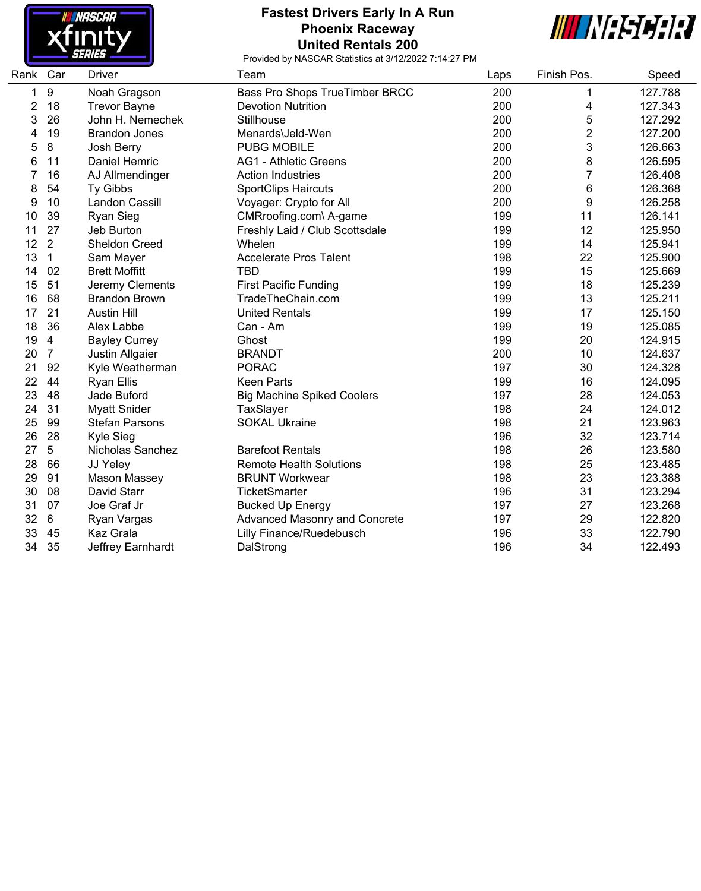

# **Fastest Drivers Early In A Run Phoenix Raceway United Rentals 200**



| Rank | Car            | <b>Driver</b>         | Team                                 | Laps | Finish Pos.    | Speed   |
|------|----------------|-----------------------|--------------------------------------|------|----------------|---------|
| 1    | 9              | Noah Gragson          | Bass Pro Shops TrueTimber BRCC       | 200  | 1              | 127.788 |
| 2    | 18             | <b>Trevor Bayne</b>   | <b>Devotion Nutrition</b>            | 200  | 4              | 127.343 |
| 3    | 26             | John H. Nemechek      | Stillhouse                           | 200  | 5              | 127.292 |
| 4    | 19             | <b>Brandon Jones</b>  | Menards\Jeld-Wen                     | 200  | 2              | 127.200 |
| 5    | 8              | Josh Berry            | <b>PUBG MOBILE</b>                   | 200  | 3              | 126.663 |
| 6    | 11             | Daniel Hemric         | <b>AG1 - Athletic Greens</b>         | 200  | 8              | 126.595 |
| 7    | 16             | AJ Allmendinger       | <b>Action Industries</b>             | 200  | $\overline{7}$ | 126.408 |
| 8    | 54             | <b>Ty Gibbs</b>       | <b>SportClips Haircuts</b>           | 200  | 6              | 126.368 |
| 9    | 10             | Landon Cassill        | Voyager: Crypto for All              | 200  | 9              | 126.258 |
| 10   | 39             | <b>Ryan Sieg</b>      | CMRroofing.com\ A-game               | 199  | 11             | 126.141 |
| 11   | 27             | Jeb Burton            | Freshly Laid / Club Scottsdale       | 199  | 12             | 125.950 |
| 12   | $\overline{2}$ | Sheldon Creed         | Whelen                               | 199  | 14             | 125.941 |
| 13   | $\mathbf 1$    | Sam Mayer             | <b>Accelerate Pros Talent</b>        | 198  | 22             | 125.900 |
| 14   | 02             | <b>Brett Moffitt</b>  | <b>TBD</b>                           | 199  | 15             | 125.669 |
| 15   | 51             | Jeremy Clements       | <b>First Pacific Funding</b>         | 199  | 18             | 125.239 |
| 16   | 68             | <b>Brandon Brown</b>  | TradeTheChain.com                    | 199  | 13             | 125.211 |
| 17   | 21             | <b>Austin Hill</b>    | <b>United Rentals</b>                | 199  | 17             | 125.150 |
| 18   | 36             | Alex Labbe            | Can - Am                             | 199  | 19             | 125.085 |
| 19   | $\overline{4}$ | <b>Bayley Currey</b>  | Ghost                                | 199  | 20             | 124.915 |
| 20   | $\overline{7}$ | Justin Allgaier       | <b>BRANDT</b>                        | 200  | 10             | 124.637 |
| 21   | 92             | Kyle Weatherman       | <b>PORAC</b>                         | 197  | 30             | 124.328 |
| 22   | 44             | <b>Ryan Ellis</b>     | <b>Keen Parts</b>                    | 199  | 16             | 124.095 |
| 23   | 48             | Jade Buford           | <b>Big Machine Spiked Coolers</b>    | 197  | 28             | 124.053 |
| 24   | 31             | <b>Myatt Snider</b>   | TaxSlayer                            | 198  | 24             | 124.012 |
| 25   | 99             | <b>Stefan Parsons</b> | <b>SOKAL Ukraine</b>                 | 198  | 21             | 123.963 |
| 26   | 28             | Kyle Sieg             |                                      | 196  | 32             | 123.714 |
| 27   | 5              | Nicholas Sanchez      | <b>Barefoot Rentals</b>              | 198  | 26             | 123.580 |
| 28   | 66             | JJ Yeley              | <b>Remote Health Solutions</b>       | 198  | 25             | 123.485 |
| 29   | 91             | Mason Massey          | <b>BRUNT Workwear</b>                | 198  | 23             | 123.388 |
| 30   | 08             | David Starr           | TicketSmarter                        | 196  | 31             | 123.294 |
| 31   | 07             | Joe Graf Jr           | <b>Bucked Up Energy</b>              | 197  | 27             | 123.268 |
| 32   | 6              | Ryan Vargas           | <b>Advanced Masonry and Concrete</b> | 197  | 29             | 122.820 |
| 33   | 45             | <b>Kaz Grala</b>      | Lilly Finance/Ruedebusch             | 196  | 33             | 122.790 |
| 34   | 35             | Jeffrey Earnhardt     | DalStrong                            | 196  | 34             | 122.493 |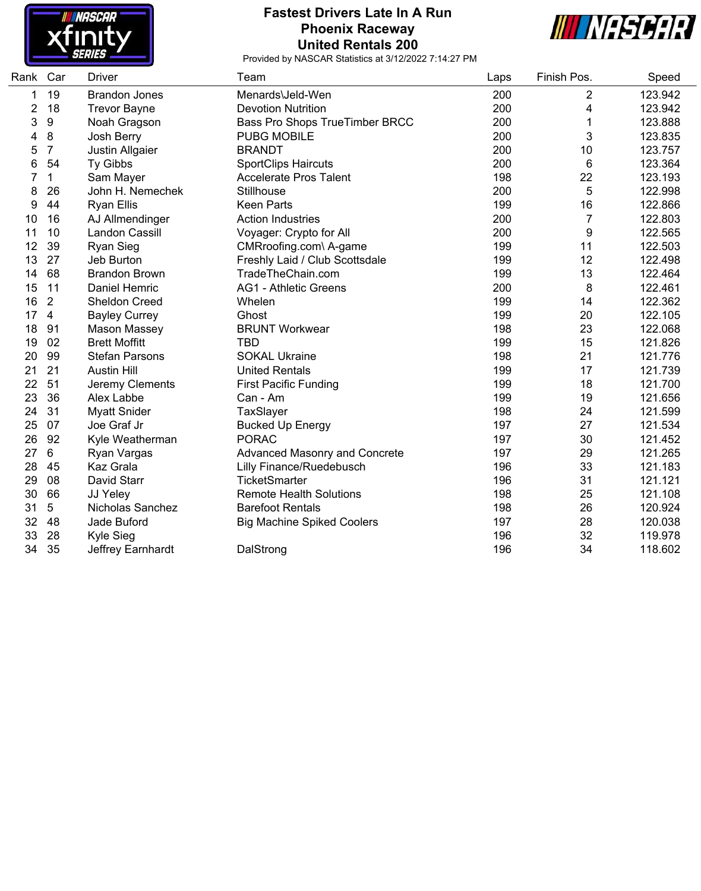

## **Fastest Drivers Late In A Run Phoenix Raceway United Rentals 200**



| Rank | Car              | <b>Driver</b>         | Team                              | Laps | Finish Pos.    | Speed   |
|------|------------------|-----------------------|-----------------------------------|------|----------------|---------|
| 1    | 19               | <b>Brandon Jones</b>  | Menards\Jeld-Wen                  | 200  | 2              | 123.942 |
| 2    | 18               | <b>Trevor Bayne</b>   | <b>Devotion Nutrition</b>         | 200  | 4              | 123.942 |
| 3    | $\boldsymbol{9}$ | Noah Gragson          | Bass Pro Shops TrueTimber BRCC    | 200  | 1              | 123.888 |
| 4    | 8                | Josh Berry            | <b>PUBG MOBILE</b>                | 200  | 3              | 123.835 |
| 5    | $\overline{7}$   | Justin Allgaier       | <b>BRANDT</b>                     | 200  | 10             | 123.757 |
| 6    | 54               | Ty Gibbs              | <b>SportClips Haircuts</b>        | 200  | 6              | 123.364 |
| 7    | 1                | Sam Mayer             | <b>Accelerate Pros Talent</b>     | 198  | 22             | 123.193 |
| 8    | 26               | John H. Nemechek      | Stillhouse                        | 200  | 5              | 122.998 |
| 9    | 44               | <b>Ryan Ellis</b>     | <b>Keen Parts</b>                 | 199  | 16             | 122.866 |
| 10   | 16               | AJ Allmendinger       | <b>Action Industries</b>          | 200  | $\overline{7}$ | 122.803 |
| 11   | 10               | Landon Cassill        | Voyager: Crypto for All           | 200  | 9              | 122.565 |
| 12   | 39               | <b>Ryan Sieg</b>      | CMRroofing.com\ A-game            | 199  | 11             | 122.503 |
| 13   | 27               | Jeb Burton            | Freshly Laid / Club Scottsdale    | 199  | 12             | 122.498 |
| 14   | 68               | <b>Brandon Brown</b>  | TradeTheChain.com                 | 199  | 13             | 122.464 |
| 15   | 11               | Daniel Hemric         | <b>AG1 - Athletic Greens</b>      | 200  | 8              | 122.461 |
| 16   | $\overline{2}$   | Sheldon Creed         | Whelen                            | 199  | 14             | 122.362 |
| 17   | $\overline{4}$   | <b>Bayley Currey</b>  | Ghost                             | 199  | 20             | 122.105 |
| 18   | 91               | <b>Mason Massey</b>   | <b>BRUNT Workwear</b>             | 198  | 23             | 122.068 |
| 19   | 02               | <b>Brett Moffitt</b>  | <b>TBD</b>                        | 199  | 15             | 121.826 |
| 20   | 99               | <b>Stefan Parsons</b> | <b>SOKAL Ukraine</b>              | 198  | 21             | 121.776 |
| 21   | 21               | <b>Austin Hill</b>    | <b>United Rentals</b>             | 199  | 17             | 121.739 |
| 22   | 51               | Jeremy Clements       | <b>First Pacific Funding</b>      | 199  | 18             | 121.700 |
| 23   | 36               | Alex Labbe            | Can - Am                          | 199  | 19             | 121.656 |
| 24   | 31               | <b>Myatt Snider</b>   | TaxSlayer                         | 198  | 24             | 121.599 |
| 25   | 07               | Joe Graf Jr           | <b>Bucked Up Energy</b>           | 197  | 27             | 121.534 |
| 26   | 92               | Kyle Weatherman       | <b>PORAC</b>                      | 197  | 30             | 121.452 |
| 27   | $6\phantom{1}6$  | Ryan Vargas           | Advanced Masonry and Concrete     | 197  | 29             | 121.265 |
| 28   | 45               | Kaz Grala             | <b>Lilly Finance/Ruedebusch</b>   | 196  | 33             | 121.183 |
| 29   | 08               | David Starr           | <b>TicketSmarter</b>              | 196  | 31             | 121.121 |
| 30   | 66               | JJ Yeley              | <b>Remote Health Solutions</b>    | 198  | 25             | 121.108 |
| 31   | 5                | Nicholas Sanchez      | <b>Barefoot Rentals</b>           | 198  | 26             | 120.924 |
| 32   | 48               | Jade Buford           | <b>Big Machine Spiked Coolers</b> | 197  | 28             | 120.038 |
| 33   | 28               | Kyle Sieg             |                                   | 196  | 32             | 119.978 |
| 34   | 35               | Jeffrey Earnhardt     | DalStrong                         | 196  | 34             | 118.602 |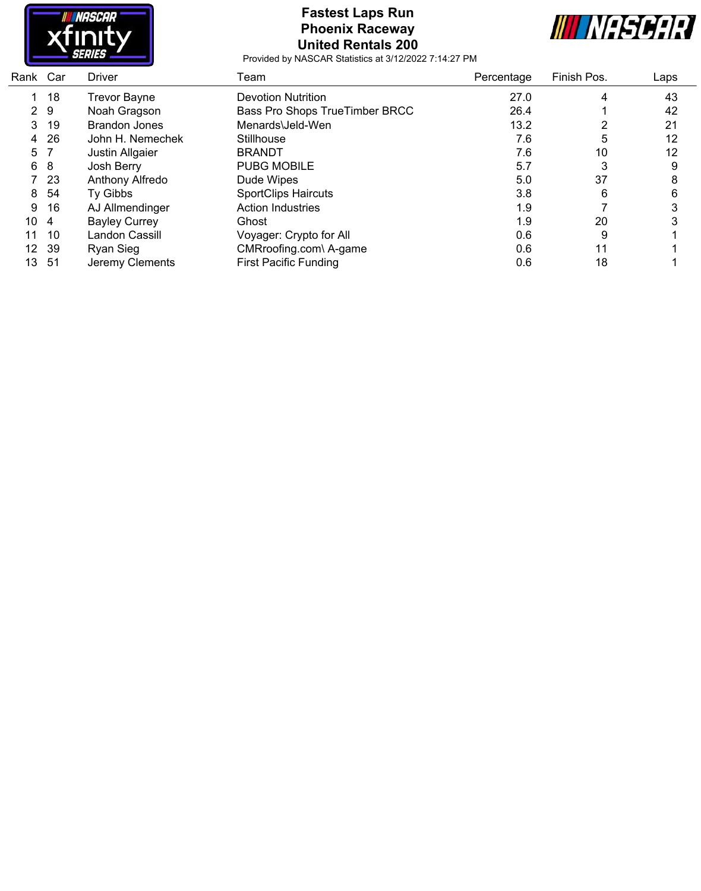

# **Fastest Laps Run Phoenix Raceway United Rentals 200**



| Car | <b>Driver</b>        | Team                           | Percentage | Finish Pos. | Laps |
|-----|----------------------|--------------------------------|------------|-------------|------|
| 18  | <b>Trevor Bayne</b>  | <b>Devotion Nutrition</b>      | 27.0       | 4           | 43   |
| -9  | Noah Gragson         | Bass Pro Shops TrueTimber BRCC | 26.4       |             | 42   |
| -19 | <b>Brandon Jones</b> | Menards\Jeld-Wen               | 13.2       |             | 21   |
| 26  | John H. Nemechek     | Stillhouse                     | 7.6        | 5           | 12   |
|     | Justin Allgaier      | <b>BRANDT</b>                  | 7.6        | 10          | 12   |
| 8   | Josh Berry           | <b>PUBG MOBILE</b>             | 5.7        | 3           | 9    |
| -23 | Anthony Alfredo      | Dude Wipes                     | 5.0        | 37          | 8    |
| 54  | Ty Gibbs             | <b>SportClips Haircuts</b>     | 3.8        | 6           | 6    |
| 16  | AJ Allmendinger      | <b>Action Industries</b>       | 1.9        |             |      |
| -4  | <b>Bayley Currey</b> | Ghost                          | 1.9        | 20          |      |
| 10  | Landon Cassill       | Voyager: Crypto for All        | 0.6        | 9           |      |
| -39 | Ryan Sieg            | CMRroofing.com\ A-game         | 0.6        | 11          |      |
| -51 | Jeremy Clements      | <b>First Pacific Funding</b>   | 0.6        | 18          |      |
|     | Rank                 |                                |            |             |      |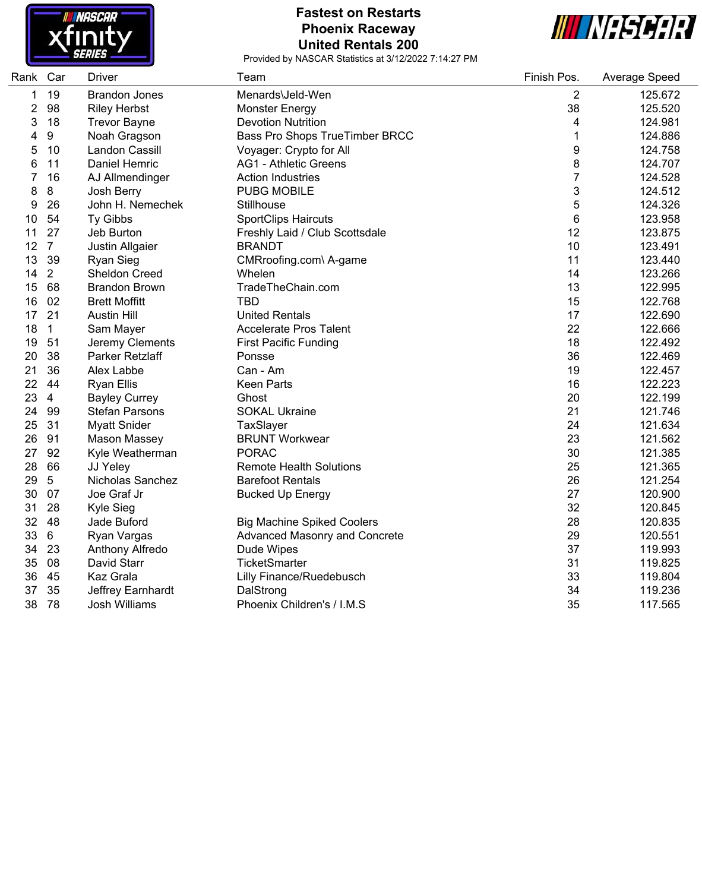

#### **Fastest on Restarts Phoenix Raceway United Rentals 200**



| Rank | Car              | <b>Driver</b>         | Team                              | Finish Pos.      | Average Speed |
|------|------------------|-----------------------|-----------------------------------|------------------|---------------|
| 1    | 19               | <b>Brandon Jones</b>  | Menards\Jeld-Wen                  | 2                | 125.672       |
| 2    | 98               | <b>Riley Herbst</b>   | <b>Monster Energy</b>             | 38               | 125.520       |
| 3    | 18               | <b>Trevor Bayne</b>   | <b>Devotion Nutrition</b>         | 4                | 124.981       |
| 4    | $\boldsymbol{9}$ | Noah Gragson          | Bass Pro Shops TrueTimber BRCC    | 1                | 124.886       |
| 5    | 10               | Landon Cassill        | Voyager: Crypto for All           | $\boldsymbol{9}$ | 124.758       |
| 6    | 11               | Daniel Hemric         | <b>AG1 - Athletic Greens</b>      | 8                | 124.707       |
| 7    | 16               | AJ Allmendinger       | <b>Action Industries</b>          | 7                | 124.528       |
| 8    | 8                | Josh Berry            | <b>PUBG MOBILE</b>                | 3                | 124.512       |
| 9    | 26               | John H. Nemechek      | Stillhouse                        | 5                | 124.326       |
| 10   | 54               | Ty Gibbs              | <b>SportClips Haircuts</b>        | 6                | 123.958       |
| 11   | 27               | Jeb Burton            | Freshly Laid / Club Scottsdale    | 12               | 123.875       |
| 12   | $\overline{7}$   | Justin Allgaier       | <b>BRANDT</b>                     | 10               | 123.491       |
| 13   | 39               | <b>Ryan Sieg</b>      | CMRroofing.com\ A-game            | 11               | 123.440       |
| 14   | 2                | <b>Sheldon Creed</b>  | Whelen                            | 14               | 123.266       |
| 15   | 68               | <b>Brandon Brown</b>  | TradeTheChain.com                 | 13               | 122.995       |
| 16   | 02               | <b>Brett Moffitt</b>  | <b>TBD</b>                        | 15               | 122.768       |
| 17   | 21               | <b>Austin Hill</b>    | <b>United Rentals</b>             | 17               | 122.690       |
| 18   | $\mathbf{1}$     | Sam Mayer             | <b>Accelerate Pros Talent</b>     | 22               | 122.666       |
| 19   | 51               | Jeremy Clements       | <b>First Pacific Funding</b>      | 18               | 122.492       |
| 20   | 38               | Parker Retzlaff       | Ponsse                            | 36               | 122.469       |
| 21   | 36               | Alex Labbe            | Can - Am                          | 19               | 122.457       |
| 22   | 44               | <b>Ryan Ellis</b>     | <b>Keen Parts</b>                 | 16               | 122.223       |
| 23   | $\overline{4}$   | <b>Bayley Currey</b>  | Ghost                             | 20               | 122.199       |
| 24   | 99               | <b>Stefan Parsons</b> | <b>SOKAL Ukraine</b>              | 21               | 121.746       |
| 25   | 31               | <b>Myatt Snider</b>   | TaxSlayer                         | 24               | 121.634       |
| 26   | 91               | <b>Mason Massey</b>   | <b>BRUNT Workwear</b>             | 23               | 121.562       |
| 27   | 92               | Kyle Weatherman       | <b>PORAC</b>                      | 30               | 121.385       |
| 28   | 66               | JJ Yeley              | <b>Remote Health Solutions</b>    | 25               | 121.365       |
| 29   | 5                | Nicholas Sanchez      | <b>Barefoot Rentals</b>           | 26               | 121.254       |
| 30   | 07               | Joe Graf Jr           | <b>Bucked Up Energy</b>           | 27               | 120.900       |
| 31   | 28               | Kyle Sieg             |                                   | 32               | 120.845       |
| 32   | 48               | Jade Buford           | <b>Big Machine Spiked Coolers</b> | 28               | 120.835       |
| 33   | 6                | Ryan Vargas           | Advanced Masonry and Concrete     | 29               | 120.551       |
| 34   | 23               | Anthony Alfredo       | Dude Wipes                        | 37               | 119.993       |
| 35   | 08               | David Starr           | TicketSmarter                     | 31               | 119.825       |
| 36   | 45               | <b>Kaz Grala</b>      | Lilly Finance/Ruedebusch          | 33               | 119.804       |
| 37   | 35               | Jeffrey Earnhardt     | DalStrong                         | 34               | 119.236       |
| 38   | 78               | <b>Josh Williams</b>  | Phoenix Children's / I.M.S        | 35               | 117.565       |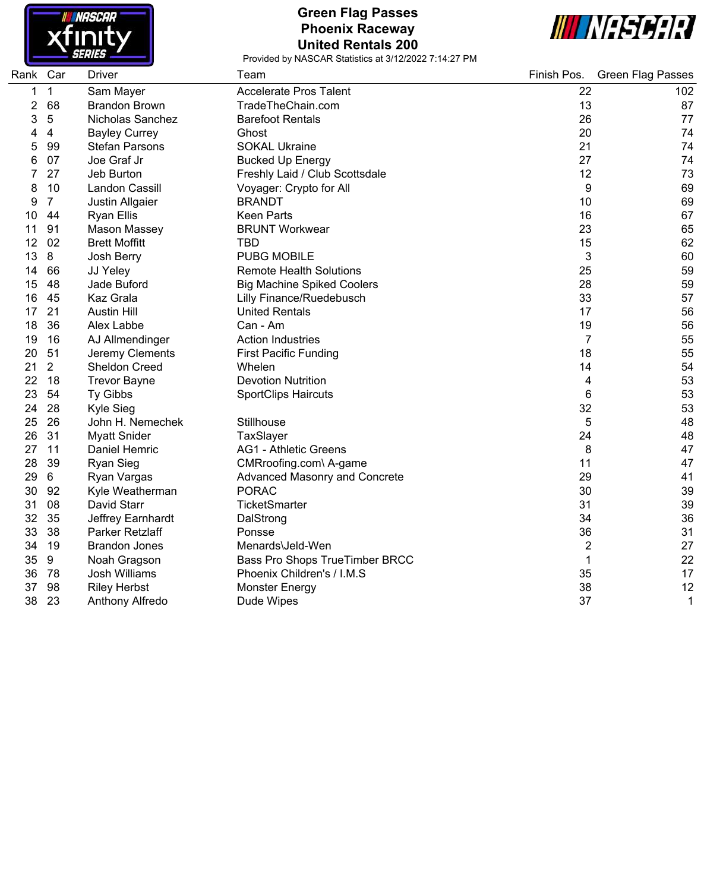

## **Green Flag Passes Phoenix Raceway United Rentals 200**



| Rank Car |                | <b>Driver</b>         | Team                              | Finish Pos.    | <b>Green Flag Passes</b> |
|----------|----------------|-----------------------|-----------------------------------|----------------|--------------------------|
| 1        | $\mathbf{1}$   | Sam Mayer             | <b>Accelerate Pros Talent</b>     | 22             | 102                      |
| 2        | 68             | <b>Brandon Brown</b>  | TradeTheChain.com                 | 13             | 87                       |
| 3        | 5              | Nicholas Sanchez      | <b>Barefoot Rentals</b>           | 26             | 77                       |
| 4        | $\overline{4}$ | <b>Bayley Currey</b>  | Ghost                             | 20             | 74                       |
| 5        | 99             | <b>Stefan Parsons</b> | <b>SOKAL Ukraine</b>              | 21             | 74                       |
| 6        | 07             | Joe Graf Jr           | <b>Bucked Up Energy</b>           | 27             | 74                       |
| 7        | 27             | Jeb Burton            | Freshly Laid / Club Scottsdale    | 12             | 73                       |
| 8        | 10             | Landon Cassill        | Voyager: Crypto for All           | 9              | 69                       |
| 9        | $\overline{7}$ | Justin Allgaier       | <b>BRANDT</b>                     | 10             | 69                       |
| 10       | 44             | <b>Ryan Ellis</b>     | <b>Keen Parts</b>                 | 16             | 67                       |
| 11       | 91             | Mason Massey          | <b>BRUNT Workwear</b>             | 23             | 65                       |
| 12       | 02             | <b>Brett Moffitt</b>  | TBD                               | 15             | 62                       |
| 13       | 8              | Josh Berry            | <b>PUBG MOBILE</b>                | 3              | 60                       |
| 14       | 66             | JJ Yeley              | <b>Remote Health Solutions</b>    | 25             | 59                       |
| 15       | 48             | Jade Buford           | <b>Big Machine Spiked Coolers</b> | 28             | 59                       |
| 16       | 45             | Kaz Grala             | Lilly Finance/Ruedebusch          | 33             | 57                       |
| 17       | 21             | <b>Austin Hill</b>    | <b>United Rentals</b>             | 17             | 56                       |
| 18       | 36             | Alex Labbe            | Can - Am                          | 19             | 56                       |
| 19       | 16             | AJ Allmendinger       | <b>Action Industries</b>          | 7              | 55                       |
| 20       | 51             | Jeremy Clements       | <b>First Pacific Funding</b>      | 18             | 55                       |
| 21       | $\overline{2}$ | <b>Sheldon Creed</b>  | Whelen                            | 14             | 54                       |
| 22       | 18             | <b>Trevor Bayne</b>   | <b>Devotion Nutrition</b>         | 4              | 53                       |
| 23       | 54             | Ty Gibbs              | <b>SportClips Haircuts</b>        | 6              | 53                       |
| 24       | 28             | Kyle Sieg             |                                   | 32             | 53                       |
| 25       | 26             | John H. Nemechek      | Stillhouse                        | 5              | 48                       |
| 26       | 31             | <b>Myatt Snider</b>   | TaxSlayer                         | 24             | 48                       |
| 27       | 11             | Daniel Hemric         | <b>AG1 - Athletic Greens</b>      | 8              | 47                       |
| 28       | 39             | <b>Ryan Sieg</b>      | CMRroofing.com\ A-game            | 11             | 47                       |
| 29       | 6              | Ryan Vargas           | Advanced Masonry and Concrete     | 29             | 41                       |
| 30       | 92             | Kyle Weatherman       | <b>PORAC</b>                      | 30             | 39                       |
| 31       | 08             | David Starr           | TicketSmarter                     | 31             | 39                       |
| 32       | 35             | Jeffrey Earnhardt     | DalStrong                         | 34             | 36                       |
| 33       | 38             | Parker Retzlaff       | Ponsse                            | 36             | 31                       |
| 34       | 19             | <b>Brandon Jones</b>  | Menards\Jeld-Wen                  | $\overline{2}$ | 27                       |
| 35       | 9              | Noah Gragson          | Bass Pro Shops TrueTimber BRCC    | 1              | 22                       |
| 36       | 78             | Josh Williams         | Phoenix Children's / I.M.S        | 35             | 17                       |
| 37       | 98             | <b>Riley Herbst</b>   | <b>Monster Energy</b>             | 38             | 12                       |
| 38       | 23             | Anthony Alfredo       | Dude Wipes                        | 37             | 1                        |
|          |                |                       |                                   |                |                          |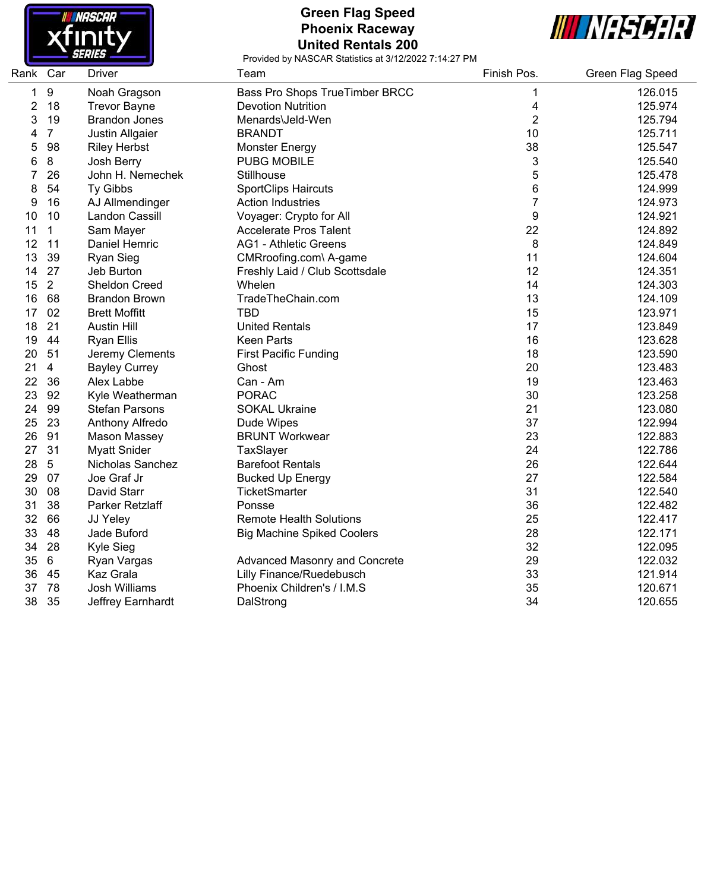

#### **Green Flag Speed Phoenix Raceway United Rentals 200**



| Rank Car |                | <b>Driver</b>         | Team                                  | Finish Pos.    | Green Flag Speed |
|----------|----------------|-----------------------|---------------------------------------|----------------|------------------|
| 1        | 9              | Noah Gragson          | <b>Bass Pro Shops TrueTimber BRCC</b> | 1              | 126.015          |
| 2        | 18             | <b>Trevor Bayne</b>   | <b>Devotion Nutrition</b>             | 4              | 125.974          |
| 3        | 19             | <b>Brandon Jones</b>  | Menards\Jeld-Wen                      | $\overline{2}$ | 125.794          |
| 4        | $\overline{7}$ | Justin Allgaier       | <b>BRANDT</b>                         | 10             | 125.711          |
| 5        | 98             | <b>Riley Herbst</b>   | <b>Monster Energy</b>                 | 38             | 125.547          |
| 6        | $\bf 8$        | Josh Berry            | <b>PUBG MOBILE</b>                    | 3              | 125.540          |
| 7        | 26             | John H. Nemechek      | Stillhouse                            | 5              | 125.478          |
| 8        | 54             | Ty Gibbs              | <b>SportClips Haircuts</b>            | 6              | 124.999          |
| 9        | 16             | AJ Allmendinger       | <b>Action Industries</b>              | $\overline{7}$ | 124.973          |
| 10       | 10             | Landon Cassill        | Voyager: Crypto for All               | 9              | 124.921          |
| 11       | $\mathbf 1$    | Sam Mayer             | <b>Accelerate Pros Talent</b>         | 22             | 124.892          |
| 12       | 11             | Daniel Hemric         | <b>AG1 - Athletic Greens</b>          | 8              | 124.849          |
| 13       | 39             | <b>Ryan Sieg</b>      | CMRroofing.com\ A-game                | 11             | 124.604          |
| 14       | 27             | Jeb Burton            | Freshly Laid / Club Scottsdale        | 12             | 124.351          |
| 15       | $\overline{2}$ | <b>Sheldon Creed</b>  | Whelen                                | 14             | 124.303          |
| 16       | 68             | <b>Brandon Brown</b>  | TradeTheChain.com                     | 13             | 124.109          |
| 17       | 02             | <b>Brett Moffitt</b>  | <b>TBD</b>                            | 15             | 123.971          |
| 18       | 21             | <b>Austin Hill</b>    | <b>United Rentals</b>                 | 17             | 123.849          |
| 19       | 44             | <b>Ryan Ellis</b>     | <b>Keen Parts</b>                     | 16             | 123.628          |
| 20       | 51             | Jeremy Clements       | <b>First Pacific Funding</b>          | 18             | 123.590          |
| 21       | $\overline{4}$ | <b>Bayley Currey</b>  | Ghost                                 | 20             | 123.483          |
| 22       | 36             | Alex Labbe            | Can - Am                              | 19             | 123.463          |
| 23       | 92             | Kyle Weatherman       | <b>PORAC</b>                          | 30             | 123.258          |
| 24       | 99             | <b>Stefan Parsons</b> | <b>SOKAL Ukraine</b>                  | 21             | 123.080          |
| 25       | 23             | Anthony Alfredo       | Dude Wipes                            | 37             | 122.994          |
| 26       | 91             | <b>Mason Massey</b>   | <b>BRUNT Workwear</b>                 | 23             | 122.883          |
| 27       | 31             | <b>Myatt Snider</b>   | TaxSlayer                             | 24             | 122.786          |
| 28       | $\overline{5}$ | Nicholas Sanchez      | <b>Barefoot Rentals</b>               | 26             | 122.644          |
| 29       | 07             | Joe Graf Jr           | <b>Bucked Up Energy</b>               | 27             | 122.584          |
| 30       | 08             | David Starr           | <b>TicketSmarter</b>                  | 31             | 122.540          |
| 31       | 38             | Parker Retzlaff       | Ponsse                                | 36             | 122.482          |
| 32       | 66             | JJ Yeley              | <b>Remote Health Solutions</b>        | 25             | 122.417          |
| 33       | 48             | Jade Buford           | <b>Big Machine Spiked Coolers</b>     | 28             | 122.171          |
| 34       | 28             | Kyle Sieg             |                                       | 32             | 122.095          |
| 35       | 6              | Ryan Vargas           | Advanced Masonry and Concrete         | 29             | 122.032          |
| 36       | 45             | Kaz Grala             | Lilly Finance/Ruedebusch              | 33             | 121.914          |
| 37       | 78             | <b>Josh Williams</b>  | Phoenix Children's / I.M.S            | 35             | 120.671          |
| 38       | 35             | Jeffrey Earnhardt     | DalStrong                             | 34             | 120.655          |
|          |                |                       |                                       |                |                  |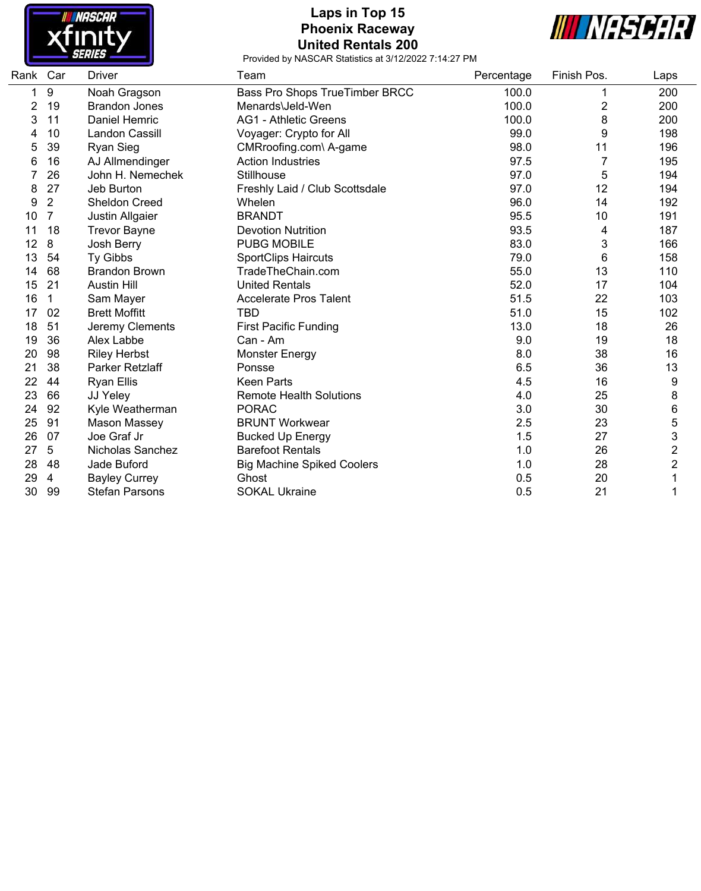

## **Laps in Top 15 Phoenix Raceway United Rentals 200**



| Rank Car |                | Driver                | Team                              | Percentage | Finish Pos. | Laps                    |
|----------|----------------|-----------------------|-----------------------------------|------------|-------------|-------------------------|
| 1        | 9              | Noah Gragson          | Bass Pro Shops TrueTimber BRCC    | 100.0      |             | 200                     |
| 2        | 19             | <b>Brandon Jones</b>  | Menards\Jeld-Wen                  | 100.0      | 2           | 200                     |
| 3        | 11             | Daniel Hemric         | <b>AG1 - Athletic Greens</b>      | 100.0      | 8           | 200                     |
| 4        | 10             | Landon Cassill        | Voyager: Crypto for All           | 99.0       | 9           | 198                     |
| 5        | 39             | <b>Ryan Sieg</b>      | CMRroofing.com\ A-game            | 98.0       | 11          | 196                     |
| 6        | 16             | AJ Allmendinger       | <b>Action Industries</b>          | 97.5       |             | 195                     |
| 7        | 26             | John H. Nemechek      | Stillhouse                        | 97.0       | 5           | 194                     |
| 8        | 27             | Jeb Burton            | Freshly Laid / Club Scottsdale    | 97.0       | 12          | 194                     |
| 9        | $\overline{2}$ | Sheldon Creed         | Whelen                            | 96.0       | 14          | 192                     |
| 10       | $\overline{7}$ | Justin Allgaier       | <b>BRANDT</b>                     | 95.5       | 10          | 191                     |
| 11       | 18             | <b>Trevor Bayne</b>   | <b>Devotion Nutrition</b>         | 93.5       | 4           | 187                     |
| 12       | 8              | Josh Berry            | <b>PUBG MOBILE</b>                | 83.0       | 3           | 166                     |
| 13       | 54             | Ty Gibbs              | <b>SportClips Haircuts</b>        | 79.0       | 6           | 158                     |
| 14       | 68             | <b>Brandon Brown</b>  | TradeTheChain.com                 | 55.0       | 13          | 110                     |
| 15       | 21             | <b>Austin Hill</b>    | <b>United Rentals</b>             | 52.0       | 17          | 104                     |
| 16       | 1              | Sam Mayer             | <b>Accelerate Pros Talent</b>     | 51.5       | 22          | 103                     |
| 17       | 02             | <b>Brett Moffitt</b>  | <b>TBD</b>                        | 51.0       | 15          | 102                     |
| 18       | 51             | Jeremy Clements       | <b>First Pacific Funding</b>      | 13.0       | 18          | 26                      |
| 19       | 36             | Alex Labbe            | Can - Am                          | 9.0        | 19          | 18                      |
| 20       | 98             | <b>Riley Herbst</b>   | <b>Monster Energy</b>             | 8.0        | 38          | 16                      |
| 21       | 38             | Parker Retzlaff       | Ponsse                            | 6.5        | 36          | 13                      |
| 22       | 44             | <b>Ryan Ellis</b>     | <b>Keen Parts</b>                 | 4.5        | 16          | 9                       |
| 23       | 66             | JJ Yeley              | <b>Remote Health Solutions</b>    | 4.0        | 25          | 8                       |
| 24       | 92             | Kyle Weatherman       | <b>PORAC</b>                      | 3.0        | 30          | 6                       |
| 25       | 91             | Mason Massey          | <b>BRUNT Workwear</b>             | 2.5        | 23          | 5                       |
| 26       | 07             | Joe Graf Jr           | <b>Bucked Up Energy</b>           | 1.5        | 27          | 3                       |
| 27       | 5              | Nicholas Sanchez      | <b>Barefoot Rentals</b>           | 1.0        | 26          | $\overline{\mathbf{c}}$ |
| 28       | 48             | Jade Buford           | <b>Big Machine Spiked Coolers</b> | 1.0        | 28          | $\overline{\mathbf{c}}$ |
| 29       | 4              | <b>Bayley Currey</b>  | Ghost                             | 0.5        | 20          |                         |
| 30       | 99             | <b>Stefan Parsons</b> | <b>SOKAL Ukraine</b>              | 0.5        | 21          | 1                       |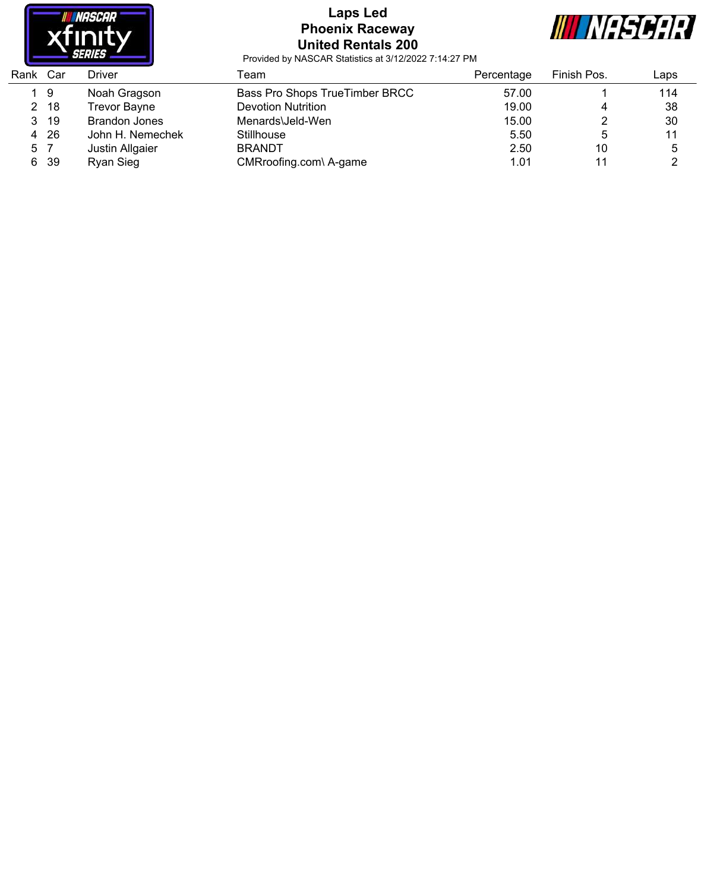

# **Laps Led Phoenix Raceway United Rentals 200**



| Bass Pro Shops TrueTimber BRCC<br>19<br>Noah Gragson<br>57.00<br><b>Devotion Nutrition</b><br>19.00<br>- 18<br><b>Trevor Bayne</b><br>2<br>4<br><b>Brandon Jones</b><br>15.00<br>-19<br>Menards\Jeld-Wen<br>3. | Laps |
|----------------------------------------------------------------------------------------------------------------------------------------------------------------------------------------------------------------|------|
|                                                                                                                                                                                                                | 114  |
|                                                                                                                                                                                                                | 38   |
|                                                                                                                                                                                                                | 30   |
| -26<br>5.50<br>John H. Nemechek<br>Stillhouse<br>4                                                                                                                                                             | 11   |
| 2.50<br>10<br><b>BRANDT</b><br>Justin Allgaier<br>5 7                                                                                                                                                          | 5    |
| -39<br>Ryan Sieg<br>CMRroofing.com\ A-game<br>1.01<br>11<br>6.                                                                                                                                                 |      |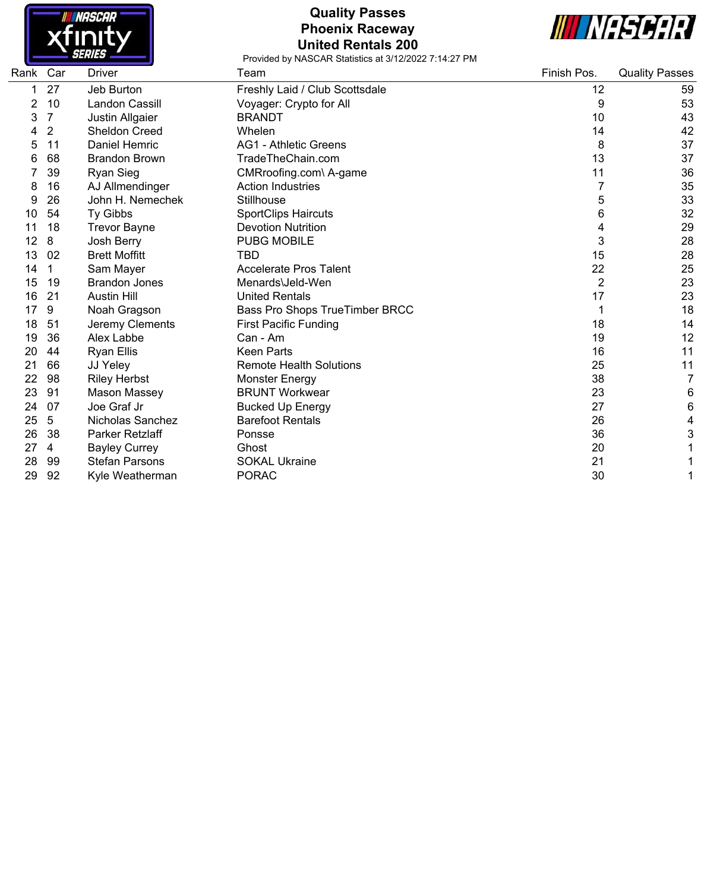

# **Quality Passes Phoenix Raceway United Rentals 200**



| Rank | Car | Driver                 | Team                           | Finish Pos.    | <b>Quality Passes</b> |
|------|-----|------------------------|--------------------------------|----------------|-----------------------|
|      | 27  | Jeb Burton             | Freshly Laid / Club Scottsdale | 12             | 59                    |
| 2    | 10  | <b>Landon Cassill</b>  | Voyager: Crypto for All        | 9              | 53                    |
| 3    | 7   | Justin Allgaier        | <b>BRANDT</b>                  | 10             | 43                    |
|      | 2   | Sheldon Creed          | Whelen                         | 14             | 42                    |
| 5    | 11  | Daniel Hemric          | <b>AG1 - Athletic Greens</b>   | 8              | 37                    |
| 6    | 68  | <b>Brandon Brown</b>   | TradeTheChain.com              | 13             | 37                    |
|      | 39  | <b>Ryan Sieg</b>       | CMRroofing.com\ A-game         | 11             | 36                    |
| 8    | 16  | AJ Allmendinger        | <b>Action Industries</b>       | 7              | 35                    |
| 9    | 26  | John H. Nemechek       | Stillhouse                     | 5              | 33                    |
| 10   | 54  | Ty Gibbs               | <b>SportClips Haircuts</b>     | 6              | 32                    |
|      | 18  | <b>Trevor Bayne</b>    | <b>Devotion Nutrition</b>      | 4              | 29                    |
| 12   | 8   | Josh Berry             | <b>PUBG MOBILE</b>             | 3              | 28                    |
| 13   | 02  | <b>Brett Moffitt</b>   | TBD                            | 15             | 28                    |
| 14   | 1   | Sam Mayer              | <b>Accelerate Pros Talent</b>  | 22             | 25                    |
| 15   | 19  | <b>Brandon Jones</b>   | Menards\Jeld-Wen               | $\overline{2}$ | 23                    |
| 16   | 21  | <b>Austin Hill</b>     | <b>United Rentals</b>          | 17             | 23                    |
| 17   | 9   | Noah Gragson           | Bass Pro Shops TrueTimber BRCC |                | 18                    |
| 18   | 51  | Jeremy Clements        | <b>First Pacific Funding</b>   | 18             | 14                    |
| 19   | 36  | Alex Labbe             | Can - Am                       | 19             | 12                    |
| 20   | 44  | <b>Ryan Ellis</b>      | <b>Keen Parts</b>              | 16             | 11                    |
| 21   | 66  | JJ Yeley               | <b>Remote Health Solutions</b> | 25             | 11                    |
| 22   | 98  | <b>Riley Herbst</b>    | <b>Monster Energy</b>          | 38             | $\overline{7}$        |
| 23   | 91  | Mason Massey           | <b>BRUNT Workwear</b>          | 23             | 6                     |
| 24   | 07  | Joe Graf Jr            | <b>Bucked Up Energy</b>        | 27             | 6                     |
| 25   | 5   | Nicholas Sanchez       | <b>Barefoot Rentals</b>        | 26             | 4                     |
| 26   | 38  | <b>Parker Retzlaff</b> | Ponsse                         | 36             | 3                     |
| 27   | 4   | <b>Bayley Currey</b>   | Ghost                          | 20             |                       |
| 28   | 99  | <b>Stefan Parsons</b>  | <b>SOKAL Ukraine</b>           | 21             |                       |
| 29   | 92  | Kyle Weatherman        | <b>PORAC</b>                   | 30             |                       |